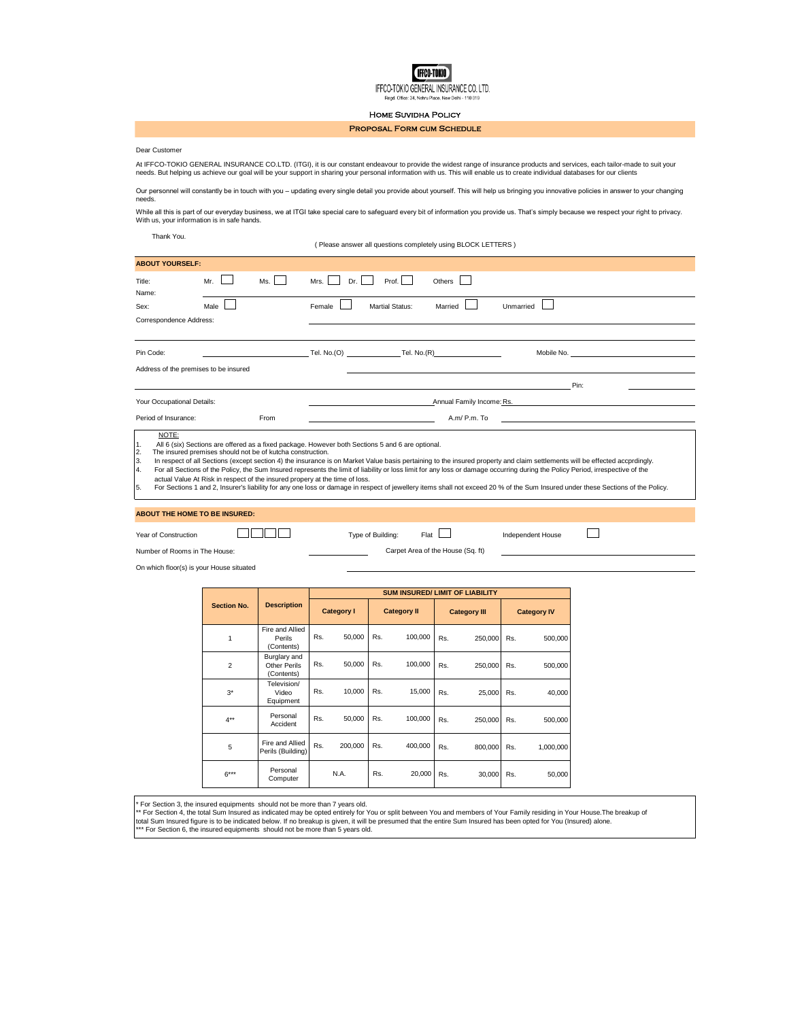**IFFCO-TOKIO** IFFCO-TOKIO GENERAL INSURANCE CO. LTD.

Home Suvidha Policy

## Proposal Form cum Schedule

## Dear Customer

At IFFCO-TOKIO GENERAL INSURANCE CO.LTD. (ITGI), it is our constant endeavour to provide the widest range of insurance products and services, each tailor-made to suit your<br>needs. But helping us achieve our goal will be you

Our personnel will constantly be in touch with you – updating every single detail you provide about yourself. This will help us bringing you innovative policies in answer to your changing needs.

While all this is part of our everyday business, we at ITGI take special care to safeguard every bit of information you provide us. That's simply because we respect your right to privacy.<br>With us, your information is in sa

Thank You.

( Please answer all questions completely using BLOCK LETTERS )

| <b>ABOUT YOURSELF:</b>                                                                                                                                                                                                                                                                                                                                                                                                                                                                                                                                                                                                                                                                                                                                                                                                                                                                                                                                                                                                           |                           |                                                   |                                        |     |                    |                     |         |           |                    |  |
|----------------------------------------------------------------------------------------------------------------------------------------------------------------------------------------------------------------------------------------------------------------------------------------------------------------------------------------------------------------------------------------------------------------------------------------------------------------------------------------------------------------------------------------------------------------------------------------------------------------------------------------------------------------------------------------------------------------------------------------------------------------------------------------------------------------------------------------------------------------------------------------------------------------------------------------------------------------------------------------------------------------------------------|---------------------------|---------------------------------------------------|----------------------------------------|-----|--------------------|---------------------|---------|-----------|--------------------|--|
| Title:<br>Name:                                                                                                                                                                                                                                                                                                                                                                                                                                                                                                                                                                                                                                                                                                                                                                                                                                                                                                                                                                                                                  | Mr.                       | Ms.                                               | Dr.<br>Mrs.                            |     | Prof.              | Others              |         |           |                    |  |
| Sex:                                                                                                                                                                                                                                                                                                                                                                                                                                                                                                                                                                                                                                                                                                                                                                                                                                                                                                                                                                                                                             | Male                      |                                                   | Female                                 |     | Martial Status:    | Married             |         | Unmarried |                    |  |
| Correspondence Address:                                                                                                                                                                                                                                                                                                                                                                                                                                                                                                                                                                                                                                                                                                                                                                                                                                                                                                                                                                                                          |                           |                                                   |                                        |     |                    |                     |         |           |                    |  |
|                                                                                                                                                                                                                                                                                                                                                                                                                                                                                                                                                                                                                                                                                                                                                                                                                                                                                                                                                                                                                                  |                           |                                                   |                                        |     |                    |                     |         |           |                    |  |
| Pin Code:                                                                                                                                                                                                                                                                                                                                                                                                                                                                                                                                                                                                                                                                                                                                                                                                                                                                                                                                                                                                                        |                           |                                                   |                                        |     |                    |                     |         |           |                    |  |
| Address of the premises to be insured                                                                                                                                                                                                                                                                                                                                                                                                                                                                                                                                                                                                                                                                                                                                                                                                                                                                                                                                                                                            |                           |                                                   |                                        |     |                    |                     |         |           |                    |  |
| Pin:                                                                                                                                                                                                                                                                                                                                                                                                                                                                                                                                                                                                                                                                                                                                                                                                                                                                                                                                                                                                                             |                           |                                                   |                                        |     |                    |                     |         |           |                    |  |
| Your Occupational Details:                                                                                                                                                                                                                                                                                                                                                                                                                                                                                                                                                                                                                                                                                                                                                                                                                                                                                                                                                                                                       | Annual Family Income: Rs. |                                                   |                                        |     |                    |                     |         |           |                    |  |
| Period of Insurance:<br>From                                                                                                                                                                                                                                                                                                                                                                                                                                                                                                                                                                                                                                                                                                                                                                                                                                                                                                                                                                                                     |                           |                                                   | A.m/ P.m. To                           |     |                    |                     |         |           |                    |  |
| NOTE:<br>All 6 (six) Sections are offered as a fixed package. However both Sections 5 and 6 are optional.<br>1.<br>The insured premises should not be of kutcha construction.<br>2.<br>In respect of all Sections (except section 4) the insurance is on Market Value basis pertaining to the insured property and claim settlements will be effected accprdingly.<br>3.<br>For all Sections of the Policy, the Sum Insured represents the limit of liability or loss limit for any loss or damage occurring during the Policy Period, irrespective of the<br>4.<br>actual Value At Risk in respect of the insured propery at the time of loss.<br>For Sections 1 and 2, Insurer's liability for any one loss or damage in respect of jewellery items shall not exceed 20 % of the Sum Insured under these Sections of the Policy.<br>5.<br><b>ABOUT THE HOME TO BE INSURED:</b><br>Flat<br>Year of Construction<br>Type of Building:<br>Independent House<br>Number of Rooms in The House:<br>Carpet Area of the House (Sq. ft) |                           |                                                   |                                        |     |                    |                     |         |           |                    |  |
| On which floor(s) is your House situated                                                                                                                                                                                                                                                                                                                                                                                                                                                                                                                                                                                                                                                                                                                                                                                                                                                                                                                                                                                         |                           |                                                   |                                        |     |                    |                     |         |           |                    |  |
|                                                                                                                                                                                                                                                                                                                                                                                                                                                                                                                                                                                                                                                                                                                                                                                                                                                                                                                                                                                                                                  |                           |                                                   | <b>SUM INSURED/ LIMIT OF LIABILITY</b> |     |                    |                     |         |           |                    |  |
|                                                                                                                                                                                                                                                                                                                                                                                                                                                                                                                                                                                                                                                                                                                                                                                                                                                                                                                                                                                                                                  | <b>Section No.</b>        | <b>Description</b>                                | <b>Category I</b>                      |     | <b>Category II</b> | <b>Category III</b> |         |           | <b>Category IV</b> |  |
|                                                                                                                                                                                                                                                                                                                                                                                                                                                                                                                                                                                                                                                                                                                                                                                                                                                                                                                                                                                                                                  | $\mathbf{1}$              | Fire and Allied<br>Perils<br>(Contents)           | Rs.<br>50,000                          | Rs. | 100,000            | Rs.                 | 250,000 | Rs.       | 500,000            |  |
|                                                                                                                                                                                                                                                                                                                                                                                                                                                                                                                                                                                                                                                                                                                                                                                                                                                                                                                                                                                                                                  | $\overline{2}$            | Burglary and<br><b>Other Perils</b><br>(Contents) | Rs.<br>50,000                          | Rs. | 100,000            | Rs.                 | 250,000 | Rs.       | 500,000            |  |
|                                                                                                                                                                                                                                                                                                                                                                                                                                                                                                                                                                                                                                                                                                                                                                                                                                                                                                                                                                                                                                  | $3*$                      | Television/<br>Video<br>Equipment                 | Rs.<br>10,000                          | Rs. | 15,000             | Rs.                 | 25,000  | Rs.       | 40,000             |  |
|                                                                                                                                                                                                                                                                                                                                                                                                                                                                                                                                                                                                                                                                                                                                                                                                                                                                                                                                                                                                                                  | $4***$                    | Personal<br>Accident                              | Rs.<br>50,000                          | Rs. | 100,000            | Rs.                 | 250,000 | Rs.       | 500,000            |  |
|                                                                                                                                                                                                                                                                                                                                                                                                                                                                                                                                                                                                                                                                                                                                                                                                                                                                                                                                                                                                                                  | 5                         | Fire and Allied<br>Perils (Building)              | Rs.<br>200,000                         | Rs. | 400,000            | Rs.                 | 800,000 | Rs.       | 1,000,000          |  |

6\*\*\* Personal<br>Computer

\* For Section 3, the insured equipments should not be more than 7 years old.<br>\*\* For Section 4, the total Sum Insured as indicated may be opted entirely for You or split between You and members of Your Family residing in Y total Sum Insured figure is to be indicated below. If no breakup is given, it will be presumed that the entire Sum Insured has been opted for You (Insured) alone.<br>\*\*\* For Section 6, the insured equipments should not be mor

N.A. Rs. 20,000

Tersonar N.A. Rs. 20,000 Rs. 30,000 Rs. 50,000